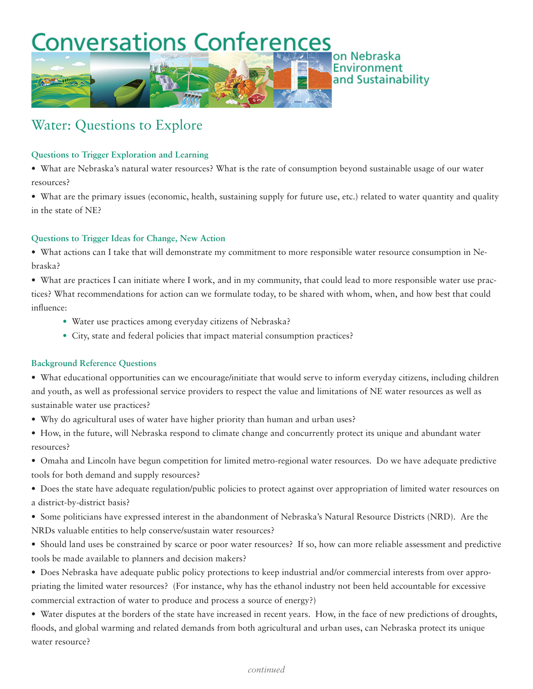## **Conversations Conferences** on Nebraska **Environment**

# Water: Questions to Explore

#### **Questions to Trigger Exploration and Learning**

• What are Nebraska's natural water resources? What is the rate of consumption beyond sustainable usage of our water resources?

• What are the primary issues (economic, health, sustaining supply for future use, etc.) related to water quantity and quality in the state of NE?

and Sustainability

#### **Questions to Trigger Ideas for Change, New Action**

• What actions can I take that will demonstrate my commitment to more responsible water resource consumption in Nebraska?

• What are practices I can initiate where I work, and in my community, that could lead to more responsible water use practices? What recommendations for action can we formulate today, to be shared with whom, when, and how best that could influence:

- Water use practices among everyday citizens of Nebraska?
- City, state and federal policies that impact material consumption practices?

### **Background Reference Questions**

• What educational opportunities can we encourage/initiate that would serve to inform everyday citizens, including children and youth, as well as professional service providers to respect the value and limitations of NE water resources as well as sustainable water use practices?

- Why do agricultural uses of water have higher priority than human and urban uses?
- How, in the future, will Nebraska respond to climate change and concurrently protect its unique and abundant water resources?
- Omaha and Lincoln have begun competition for limited metro-regional water resources. Do we have adequate predictive tools for both demand and supply resources?
- Does the state have adequate regulation/public policies to protect against over appropriation of limited water resources on a district-by-district basis?
- Some politicians have expressed interest in the abandonment of Nebraska's Natural Resource Districts (NRD). Are the NRDs valuable entities to help conserve/sustain water resources?
- Should land uses be constrained by scarce or poor water resources? If so, how can more reliable assessment and predictive tools be made available to planners and decision makers?
- Does Nebraska have adequate public policy protections to keep industrial and/or commercial interests from over appropriating the limited water resources? (For instance, why has the ethanol industry not been held accountable for excessive commercial extraction of water to produce and process a source of energy?)
- Water disputes at the borders of the state have increased in recent years. How, in the face of new predictions of droughts, floods, and global warming and related demands from both agricultural and urban uses, can Nebraska protect its unique water resource?